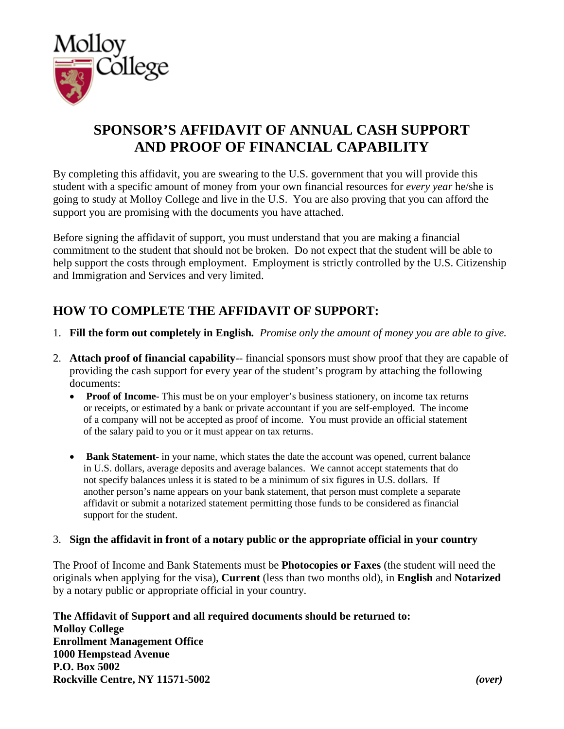

## **SPONSOR'S AFFIDAVIT OF ANNUAL CASH SUPPORT AND PROOF OF FINANCIAL CAPABILITY**

By completing this affidavit, you are swearing to the U.S. government that you will provide this student with a specific amount of money from your own financial resources for *every year* he/she is going to study at Molloy College and live in the U.S. You are also proving that you can afford the support you are promising with the documents you have attached.

Before signing the affidavit of support, you must understand that you are making a financial commitment to the student that should not be broken. Do not expect that the student will be able to help support the costs through employment. Employment is strictly controlled by the U.S. Citizenship and Immigration and Services and very limited.

## **HOW TO COMPLETE THE AFFIDAVIT OF SUPPORT:**

- 1. **Fill the form out completely in English***. Promise only the amount of money you are able to give.*
- 2. **Attach proof of financial capability**-- financial sponsors must show proof that they are capable of providing the cash support for every year of the student's program by attaching the following documents:
	- **Proof of Income**-This must be on your employer's business stationery, on income tax returns or receipts, or estimated by a bank or private accountant if you are self-employed. The income of a company will not be accepted as proof of income. You must provide an official statement of the salary paid to you or it must appear on tax returns.
	- **Bank Statement** in your name, which states the date the account was opened, current balance in U.S. dollars, average deposits and average balances. We cannot accept statements that do not specify balances unless it is stated to be a minimum of six figures in U.S. dollars. If another person's name appears on your bank statement, that person must complete a separate affidavit or submit a notarized statement permitting those funds to be considered as financial support for the student.

## 3. **Sign the affidavit in front of a notary public or the appropriate official in your country**

The Proof of Income and Bank Statements must be **Photocopies or Faxes** (the student will need the originals when applying for the visa), **Current** (less than two months old), in **English** and **Notarized** by a notary public or appropriate official in your country.

**The Affidavit of Support and all required documents should be returned to: Molloy College Enrollment Management Office 1000 Hempstead Avenue P.O. Box 5002 Rockville Centre, NY 11571-5002** *(over)*